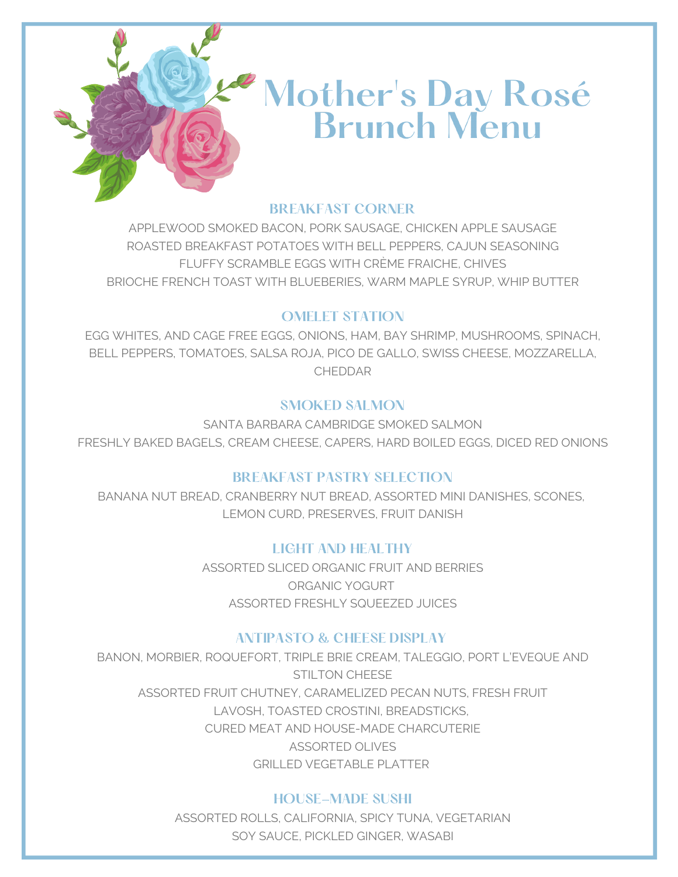

# Mother's Day Rosé<br>Brunch Menu

### BREAKFAST CORNER

APPLEWOOD SMOKED BACON, PORK SAUSAGE, CHICKEN APPLE SAUSAGE ROASTED BREAKFAST POTATOES WITH BELL PEPPERS, CAJUN SEASONING FLUFFY SCRAMBLE EGGS WITH CRÈME FRAICHE, CHIVES BRIOCHE FRENCH TOAST WITH BLUEBERIES, WARM MAPLE SYRUP, WHIP BUTTER

## OMELET STATION

EGG WHITES, AND CAGE FREE EGGS, ONIONS, HAM, BAY SHRIMP, MUSHROOMS, SPINACH, BELL PEPPERS, TOMATOES, SALSA ROJA, PICO DE GALLO, SWISS CHEESE, MOZZARELLA, CHEDDAR

# SMOKED SALMON

SANTA BARBARA CAMBRIDGE SMOKED SALMON FRESHLY BAKED BAGELS, CREAM CHEESE, CAPERS, HARD BOILED EGGS, DICED RED ONIONS

# BREAKFAST PASTRY SELECTION

BANANA NUT BREAD, CRANBERRY NUT BREAD, ASSORTED MINI DANISHES, SCONES, LEMON CURD, PRESERVES, FRUIT DANISH

# LIGHT AND HEALTHY

ASSORTED SLICED ORGANIC FRUIT AND BERRIES ORGANIC YOGURT ASSORTED FRESHLY SQUEEZED JUICES

# ANTIPASTO & CHEESE DISPLAY

BANON, MORBIER, ROQUEFORT, TRIPLE BRIE CREAM, TALEGGIO, PORT L'EVEQUE AND STILTON CHEESE ASSORTED FRUIT CHUTNEY, CARAMELIZED PECAN NUTS, FRESH FRUIT LAVOSH, TOASTED CROSTINI, BREADSTICKS, CURED MEAT AND HOUSE-MADE CHARCUTERIE ASSORTED OLIVES GRILLED VEGETABLE PLATTER

# HOUSE-MADE SUSHI

ASSORTED ROLLS, CALIFORNIA, SPICY TUNA, VEGETARIAN SOY SAUCE, PICKLED GINGER, WASABI